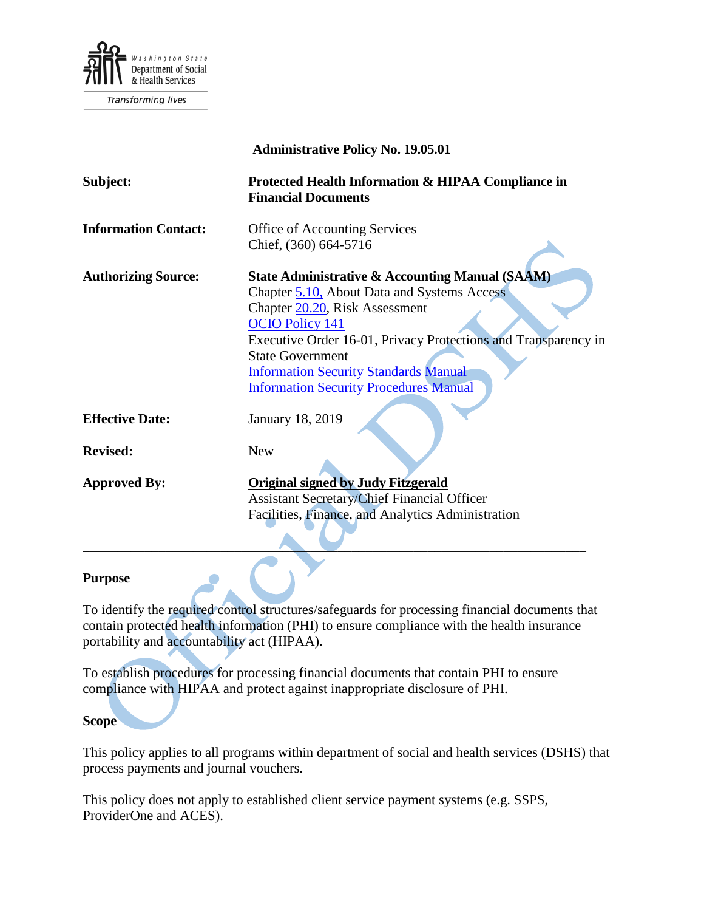

|                             | <b>Administrative Policy No. 19.05.01</b>                                                                                                                                                                                                                                                                                                                           |
|-----------------------------|---------------------------------------------------------------------------------------------------------------------------------------------------------------------------------------------------------------------------------------------------------------------------------------------------------------------------------------------------------------------|
| Subject:                    | Protected Health Information & HIPAA Compliance in<br><b>Financial Documents</b>                                                                                                                                                                                                                                                                                    |
| <b>Information Contact:</b> | <b>Office of Accounting Services</b>                                                                                                                                                                                                                                                                                                                                |
|                             | Chief, (360) 664-5716                                                                                                                                                                                                                                                                                                                                               |
| <b>Authorizing Source:</b>  | <b>State Administrative &amp; Accounting Manual (SAAM)</b><br>Chapter 5.10, About Data and Systems Access<br>Chapter 20.20, Risk Assessment<br><b>OCIO Policy 141</b><br>Executive Order 16-01, Privacy Protections and Transparency in<br><b>State Government</b><br><b>Information Security Standards Manual</b><br><b>Information Security Procedures Manual</b> |
| <b>Effective Date:</b>      | <b>January 18, 2019</b>                                                                                                                                                                                                                                                                                                                                             |
| <b>Revised:</b>             | <b>New</b>                                                                                                                                                                                                                                                                                                                                                          |
| <b>Approved By:</b>         | <b>Original signed by Judy Fitzgerald</b><br><b>Assistant Secretary/Chief Financial Officer</b><br>Facilities, Finance, and Analytics Administration                                                                                                                                                                                                                |

## **Purpose**

To identify the required control structures/safeguards for processing financial documents that contain protected health information (PHI) to ensure compliance with the health insurance portability and accountability act (HIPAA).

To establish procedures for processing financial documents that contain PHI to ensure compliance with HIPAA and protect against inappropriate disclosure of PHI.

**Scope**

This policy applies to all programs within department of social and health services (DSHS) that process payments and journal vouchers.

This policy does not apply to established client service payment systems (e.g. SSPS, ProviderOne and ACES).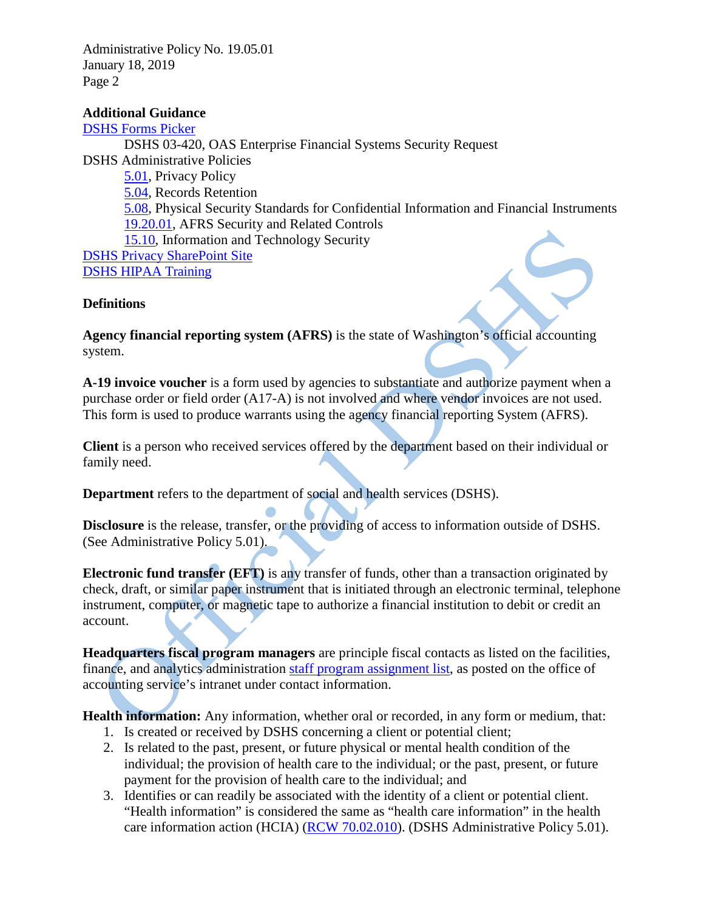Administrative Policy No. 19.05.01 January 18, 2019 Page 2

### **Additional Guidance**

[DSHS Forms Picker](http://forms.dshs.wa.lcl/) DSHS 03-420, OAS Enterprise Financial Systems Security Request DSHS Administrative Policies [5.01,](http://one.dshs.wa.lcl/Policies/Administrative/DSHS-AP-05-01.pdf) Privacy Policy [5.04,](http://one.dshs.wa.lcl/Policies/Administrative/DSHS-AP-05-04.pdf) Records Retention [5.08,](http://one.dshs.wa.lcl/Policies/Administrative/DSHS-AP-05-08.pdf) Physical Security Standards for Confidential Information and Financial Instruments [19.20.01,](http://one.dshs.wa.lcl/Policies/Administrative/DSHS-AP-19-20-01.pdf) AFRS Security and Related Controls [15.10,](http://one.dshs.wa.lcl/Policies/Administrative/DSHS-AP-15-10.pdf) Information and Technology Security [DSHS Privacy SharePoint Site](http://one.dshs.wa.lcl/FS/Records/Privacy/Pages/default.aspx) [DSHS HIPAA Training](http://hrd.dshs.wa.gov/Position_Management/Recruitment_and_Training_Support_Services/Employee_Agency_Training/Required_Agency_Training.htm)

# **Definitions**

**Agency financial reporting system (AFRS)** is the state of Washington's official accounting system.

**A-19 invoice voucher** is a form used by agencies to substantiate and authorize payment when a purchase order or field order (A17-A) is not involved and where vendor invoices are not used. This form is used to produce warrants using the agency financial reporting System (AFRS).

**Client** is a person who received services offered by the department based on their individual or family need.

**Department** refers to the department of social and health services (DSHS).

**Disclosure** is the release, transfer, or the providing of access to information outside of DSHS. (See Administrative Policy 5.01).

**Electronic fund transfer (EFT)** is any transfer of funds, other than a transaction originated by check, draft, or similar paper instrument that is initiated through an electronic terminal, telephone instrument, computer, or magnetic tape to authorize a financial institution to debit or credit an account.

**Headquarters fiscal program managers** are principle fiscal contacts as listed on the facilities, finance, and analytics administration [staff program assignment list,](http://one.dshs.wa.lcl/FS/Fiscal/Accounting/Documents/Staff%20Program%20Assignment%20List.xlsx) as posted on the office of accounting service's intranet under contact information.

**Health information:** Any information, whether oral or recorded, in any form or medium, that:

- 1. Is created or received by DSHS concerning a client or potential client;
- 2. Is related to the past, present, or future physical or mental health condition of the individual; the provision of health care to the individual; or the past, present, or future payment for the provision of health care to the individual; and
- 3. Identifies or can readily be associated with the identity of a client or potential client. "Health information" is considered the same as "health care information" in the health care information action (HCIA) [\(RCW 70.02.010\)](http://app.leg.wa.gov/RCW/default.aspx?cite=70.02.010). (DSHS Administrative Policy 5.01).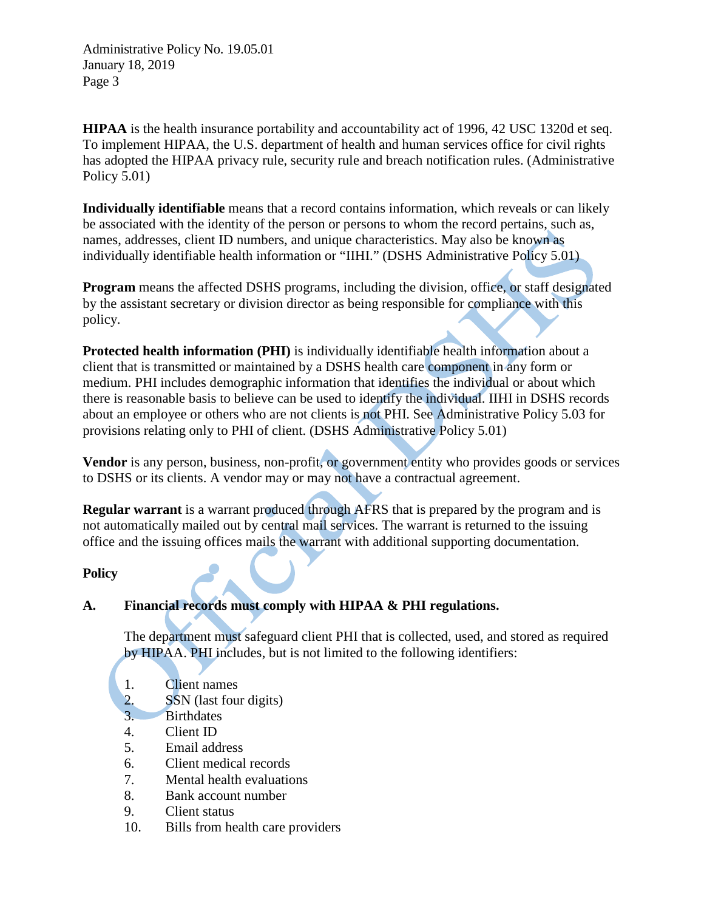Administrative Policy No. 19.05.01 January 18, 2019 Page 3

**HIPAA** is the health insurance portability and accountability act of 1996, 42 USC 1320d et seq. To implement HIPAA, the U.S. department of health and human services office for civil rights has adopted the HIPAA privacy rule, security rule and breach notification rules. (Administrative Policy 5.01)

**Individually identifiable** means that a record contains information, which reveals or can likely be associated with the identity of the person or persons to whom the record pertains, such as, names, addresses, client ID numbers, and unique characteristics. May also be known as individually identifiable health information or "IIHI." (DSHS Administrative Policy 5.01)

**Program** means the affected DSHS programs, including the division, office, or staff designated by the assistant secretary or division director as being responsible for compliance with this policy.

**Protected health information (PHI)** is individually identifiable health information about a client that is transmitted or maintained by a DSHS health care component in any form or medium. PHI includes demographic information that identifies the individual or about which there is reasonable basis to believe can be used to identify the individual. IIHI in DSHS records about an employee or others who are not clients is not PHI. See Administrative Policy 5.03 for provisions relating only to PHI of client. (DSHS Administrative Policy 5.01)

**Vendor** is any person, business, non-profit, or government entity who provides goods or services to DSHS or its clients. A vendor may or may not have a contractual agreement.

**Regular warrant** is a warrant produced through AFRS that is prepared by the program and is not automatically mailed out by central mail services. The warrant is returned to the issuing office and the issuing offices mails the warrant with additional supporting documentation.

#### **Policy**

# **A. Financial records must comply with HIPAA & PHI regulations.**

The department must safeguard client PHI that is collected, used, and stored as required by HIPAA. PHI includes, but is not limited to the following identifiers:

- 1. Client names
- 2. SSN (last four digits)
- 3. Birthdates
- 4. Client ID
- 5. Email address
- 6. Client medical records
- 7. Mental health evaluations
- 8. Bank account number
- 9. Client status
- 10. Bills from health care providers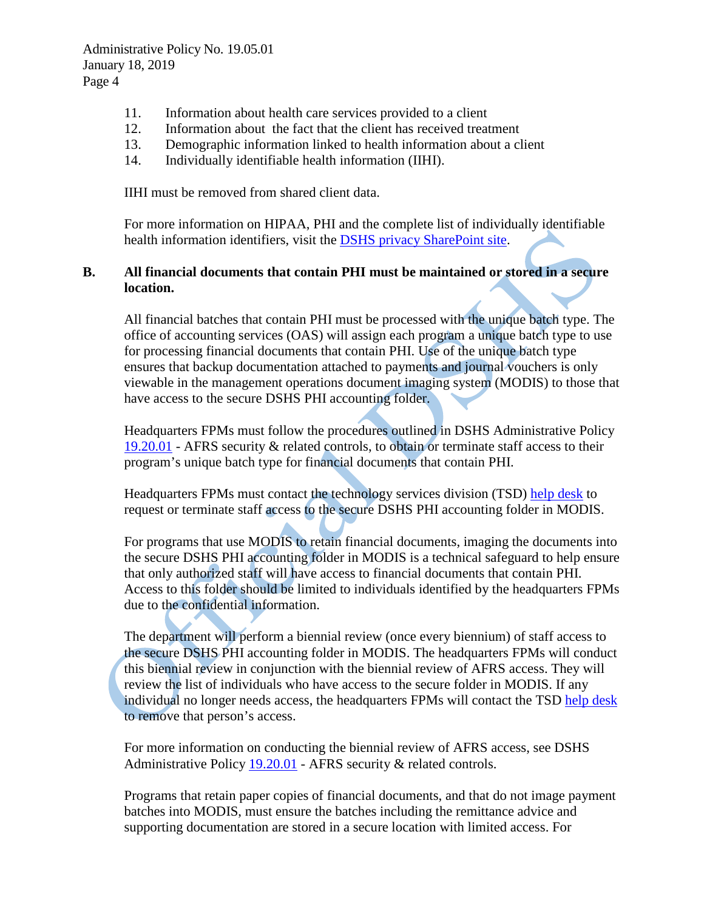- 11. Information about health care services provided to a client
- 12. Information about the fact that the client has received treatment
- 13. Demographic information linked to health information about a client
- 14. Individually identifiable health information (IIHI).

IIHI must be removed from shared client data.

For more information on HIPAA, PHI and the complete list of individually identifiable health information identifiers, visit the [DSHS privacy SharePoint](http://one.dshs.wa.lcl/FS/Records/Privacy/Pages/default.aspx) site.

# **B. All financial documents that contain PHI must be maintained or stored in a secure location.**

All financial batches that contain PHI must be processed with the unique batch type. The office of accounting services (OAS) will assign each program a unique batch type to use for processing financial documents that contain PHI. Use of the unique batch type ensures that backup documentation attached to payments and journal vouchers is only viewable in the management operations document imaging system (MODIS) to those that have access to the secure DSHS PHI accounting folder.

Headquarters FPMs must follow the procedures outlined in DSHS Administrative Policy [19.20.01](http://one.dshs.wa.lcl/Policies/Administrative/DSHS-AP-19-20-01.pdf) - AFRS security & related controls, to obtain or terminate staff access to their program's unique batch type for financial documents that contain PHI.

Headquarters FPMs must contact the technology services division (TSD) [help desk](mailto:help4me@dshs.wa.gov) to request or terminate staff access to the secure DSHS PHI accounting folder in MODIS.

For programs that use MODIS to retain financial documents, imaging the documents into the secure DSHS PHI accounting folder in MODIS is a technical safeguard to help ensure that only authorized staff will have access to financial documents that contain PHI. Access to this folder should be limited to individuals identified by the headquarters FPMs due to the confidential information.

The department will perform a biennial review (once every biennium) of staff access to the secure DSHS PHI accounting folder in MODIS. The headquarters FPMs will conduct this biennial review in conjunction with the biennial review of AFRS access. They will review the list of individuals who have access to the secure folder in MODIS. If any individual no longer needs access, the headquarters FPMs will contact the TSD [help desk](mailto:help4me@dshs.wa.gov) to remove that person's access.

For more information on conducting the biennial review of AFRS access, see DSHS Administrative Policy [19.20.01](mailto:http://one.dshs.wa.lcl/Policies/Administrative/DSHS-AP-19-20-01.pdf) - AFRS security & related controls.

Programs that retain paper copies of financial documents, and that do not image payment batches into MODIS, must ensure the batches including the remittance advice and supporting documentation are stored in a secure location with limited access. For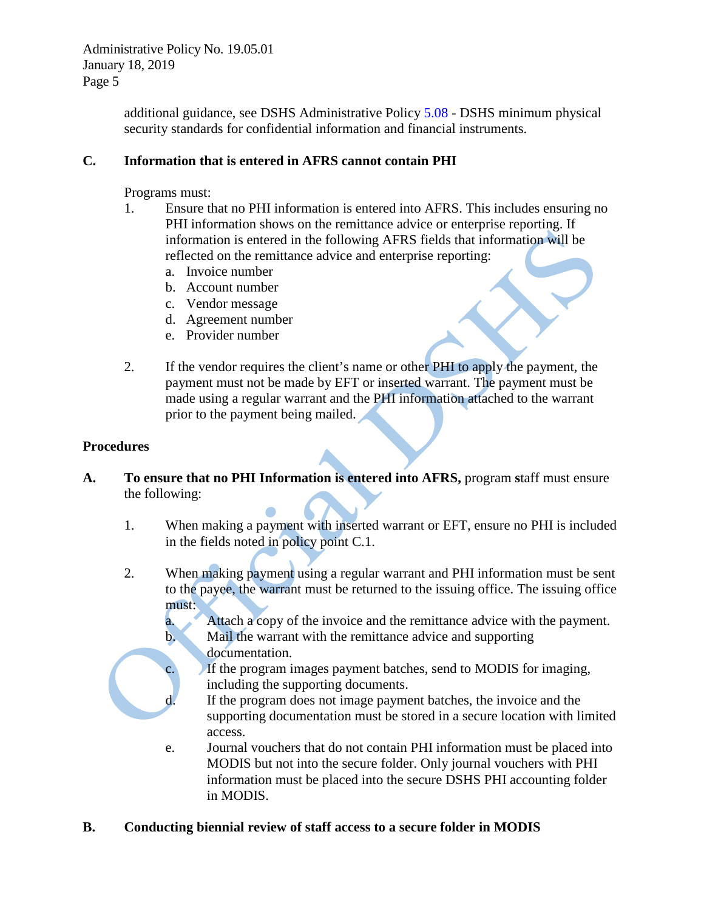Administrative Policy No. 19.05.01 January 18, 2019 Page 5

> additional guidance, see DSHS Administrative Policy [5.08](http://one.dshs.wa.lcl/Policies/Administrative/DSHS-AP-05-08.pdf) - DSHS minimum physical security standards for confidential information and financial instruments.

# **C. Information that is entered in AFRS cannot contain PHI**

Programs must:

- 1. Ensure that no PHI information is entered into AFRS. This includes ensuring no PHI information shows on the remittance advice or enterprise reporting. If information is entered in the following AFRS fields that information will be reflected on the remittance advice and enterprise reporting:
	- a. Invoice number
	- b. Account number
	- c. Vendor message
	- d. Agreement number
	- e. Provider number
- 2. If the vendor requires the client's name or other PHI to apply the payment, the payment must not be made by EFT or inserted warrant. The payment must be made using a regular warrant and the PHI information attached to the warrant prior to the payment being mailed.

#### **Procedures**

- **A. To ensure that no PHI Information is entered into AFRS,** program **s**taff must ensure the following:
	- 1. When making a payment with inserted warrant or EFT, ensure no PHI is included in the fields noted in policy point C.1.
	- 2. When making payment using a regular warrant and PHI information must be sent to the payee, the warrant must be returned to the issuing office. The issuing office must:
		- a. Attach a copy of the invoice and the remittance advice with the payment. b. Mail the warrant with the remittance advice and supporting documentation.
			- If the program images payment batches, send to MODIS for imaging, including the supporting documents.
			- If the program does not image payment batches, the invoice and the supporting documentation must be stored in a secure location with limited access.
		- e. Journal vouchers that do not contain PHI information must be placed into MODIS but not into the secure folder. Only journal vouchers with PHI information must be placed into the secure DSHS PHI accounting folder in MODIS.
- **B. Conducting biennial review of staff access to a secure folder in MODIS**